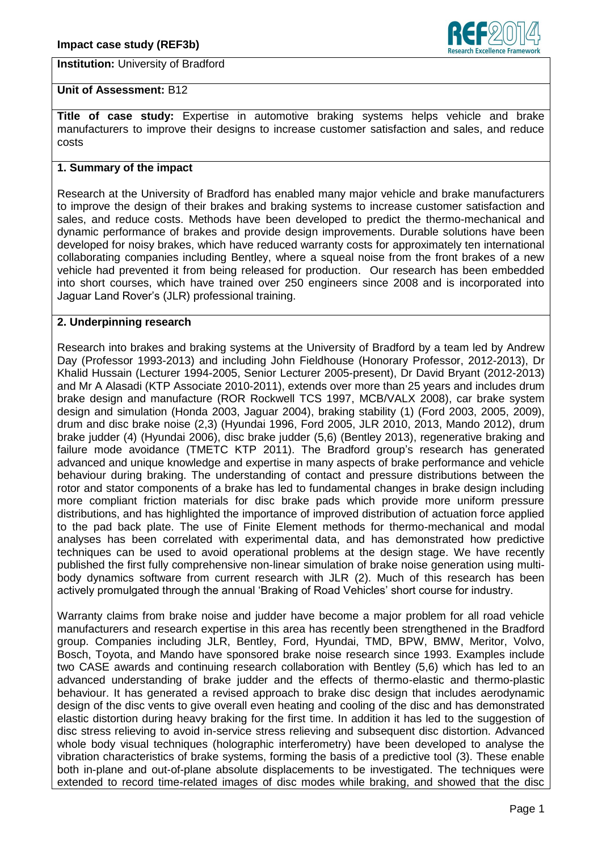# **Institution:** University of Bradford



## **Unit of Assessment:** B12

**Title of case study:** Expertise in automotive braking systems helps vehicle and brake manufacturers to improve their designs to increase customer satisfaction and sales, and reduce costs

## **1. Summary of the impact**

Research at the University of Bradford has enabled many major vehicle and brake manufacturers to improve the design of their brakes and braking systems to increase customer satisfaction and sales, and reduce costs. Methods have been developed to predict the thermo-mechanical and dynamic performance of brakes and provide design improvements. Durable solutions have been developed for noisy brakes, which have reduced warranty costs for approximately ten international collaborating companies including Bentley, where a squeal noise from the front brakes of a new vehicle had prevented it from being released for production. Our research has been embedded into short courses, which have trained over 250 engineers since 2008 and is incorporated into Jaguar Land Rover's (JLR) professional training.

## **2. Underpinning research**

Research into brakes and braking systems at the University of Bradford by a team led by Andrew Day (Professor 1993-2013) and including John Fieldhouse (Honorary Professor, 2012-2013), Dr Khalid Hussain (Lecturer 1994-2005, Senior Lecturer 2005-present), Dr David Bryant (2012-2013) and Mr A Alasadi (KTP Associate 2010-2011), extends over more than 25 years and includes drum brake design and manufacture (ROR Rockwell TCS 1997, MCB/VALX 2008), car brake system design and simulation (Honda 2003, Jaguar 2004), braking stability (1) (Ford 2003, 2005, 2009), drum and disc brake noise (2,3) (Hyundai 1996, Ford 2005, JLR 2010, 2013, Mando 2012), drum brake judder (4) (Hyundai 2006), disc brake judder (5,6) (Bentley 2013), regenerative braking and failure mode avoidance (TMETC KTP 2011). The Bradford group's research has generated advanced and unique knowledge and expertise in many aspects of brake performance and vehicle behaviour during braking. The understanding of contact and pressure distributions between the rotor and stator components of a brake has led to fundamental changes in brake design including more compliant friction materials for disc brake pads which provide more uniform pressure distributions, and has highlighted the importance of improved distribution of actuation force applied to the pad back plate. The use of Finite Element methods for thermo-mechanical and modal analyses has been correlated with experimental data, and has demonstrated how predictive techniques can be used to avoid operational problems at the design stage. We have recently published the first fully comprehensive non-linear simulation of brake noise generation using multibody dynamics software from current research with JLR (2). Much of this research has been actively promulgated through the annual 'Braking of Road Vehicles' short course for industry.

Warranty claims from brake noise and judder have become a major problem for all road vehicle manufacturers and research expertise in this area has recently been strengthened in the Bradford group. Companies including JLR, Bentley, Ford, Hyundai, TMD, BPW, BMW, Meritor, Volvo, Bosch, Toyota, and Mando have sponsored brake noise research since 1993. Examples include two CASE awards and continuing research collaboration with Bentley (5,6) which has led to an advanced understanding of brake judder and the effects of thermo-elastic and thermo-plastic behaviour. It has generated a revised approach to brake disc design that includes aerodynamic design of the disc vents to give overall even heating and cooling of the disc and has demonstrated elastic distortion during heavy braking for the first time. In addition it has led to the suggestion of disc stress relieving to avoid in-service stress relieving and subsequent disc distortion. Advanced whole body visual techniques (holographic interferometry) have been developed to analyse the vibration characteristics of brake systems, forming the basis of a predictive tool (3). These enable both in-plane and out-of-plane absolute displacements to be investigated. The techniques were extended to record time-related images of disc modes while braking, and showed that the disc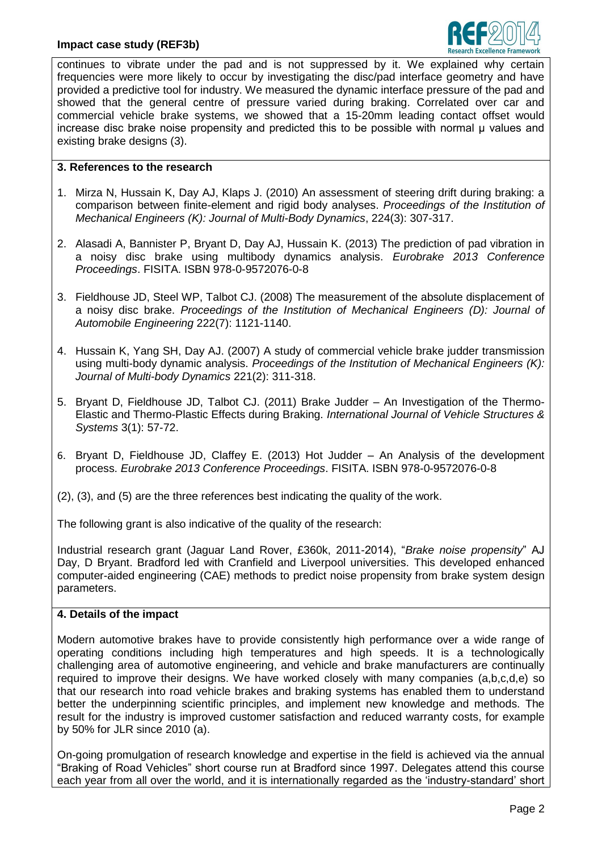

continues to vibrate under the pad and is not suppressed by it. We explained why certain frequencies were more likely to occur by investigating the disc/pad interface geometry and have provided a predictive tool for industry. We measured the dynamic interface pressure of the pad and showed that the general centre of pressure varied during braking. Correlated over car and commercial vehicle brake systems, we showed that a 15-20mm leading contact offset would increase disc brake noise propensity and predicted this to be possible with normal μ values and existing brake designs (3).

# **3. References to the research**

- 1. Mirza N, Hussain K, Day AJ, Klaps J. (2010) An assessment of steering drift during braking: a comparison between finite-element and rigid body analyses. *Proceedings of the Institution of Mechanical Engineers (K): Journal of Multi-Body Dynamics*, 224(3): 307-317.
- 2. Alasadi A, Bannister P, Bryant D, Day AJ, Hussain K. (2013) The prediction of pad vibration in a noisy disc brake using multibody dynamics analysis. *Eurobrake 2013 Conference Proceedings*. FISITA. ISBN 978-0-9572076-0-8
- 3. Fieldhouse JD, Steel WP, Talbot CJ. (2008) The measurement of the absolute displacement of a noisy disc brake. *Proceedings of the Institution of Mechanical Engineers (D): Journal of Automobile Engineering* 222(7): 1121-1140.
- 4. Hussain K, Yang SH, Day AJ. (2007) A study of commercial vehicle brake judder transmission using multi-body dynamic analysis. *Proceedings of the Institution of Mechanical Engineers (K): Journal of Multi-body Dynamics* 221(2): 311-318.
- 5. Bryant D, Fieldhouse JD, Talbot CJ. (2011) Brake Judder An Investigation of the Thermo-Elastic and Thermo-Plastic Effects during Braking. *International Journal of Vehicle Structures & Systems* 3(1): 57-72.
- 6. Bryant D, Fieldhouse JD, Claffey E. (2013) Hot Judder An Analysis of the development process. *Eurobrake 2013 Conference Proceedings*. FISITA. ISBN 978-0-9572076-0-8
- (2), (3), and (5) are the three references best indicating the quality of the work.

The following grant is also indicative of the quality of the research:

Industrial research grant (Jaguar Land Rover, £360k, 2011-2014), "*Brake noise propensity*" AJ Day, D Bryant. Bradford led with Cranfield and Liverpool universities. This developed enhanced computer-aided engineering (CAE) methods to predict noise propensity from brake system design parameters.

#### **4. Details of the impact**

Modern automotive brakes have to provide consistently high performance over a wide range of operating conditions including high temperatures and high speeds. It is a technologically challenging area of automotive engineering, and vehicle and brake manufacturers are continually required to improve their designs. We have worked closely with many companies (a,b,c,d,e) so that our research into road vehicle brakes and braking systems has enabled them to understand better the underpinning scientific principles, and implement new knowledge and methods. The result for the industry is improved customer satisfaction and reduced warranty costs, for example by 50% for JLR since 2010 (a).

On-going promulgation of research knowledge and expertise in the field is achieved via the annual "Braking of Road Vehicles" short course run at Bradford since 1997. Delegates attend this course each year from all over the world, and it is internationally regarded as the 'industry-standard' short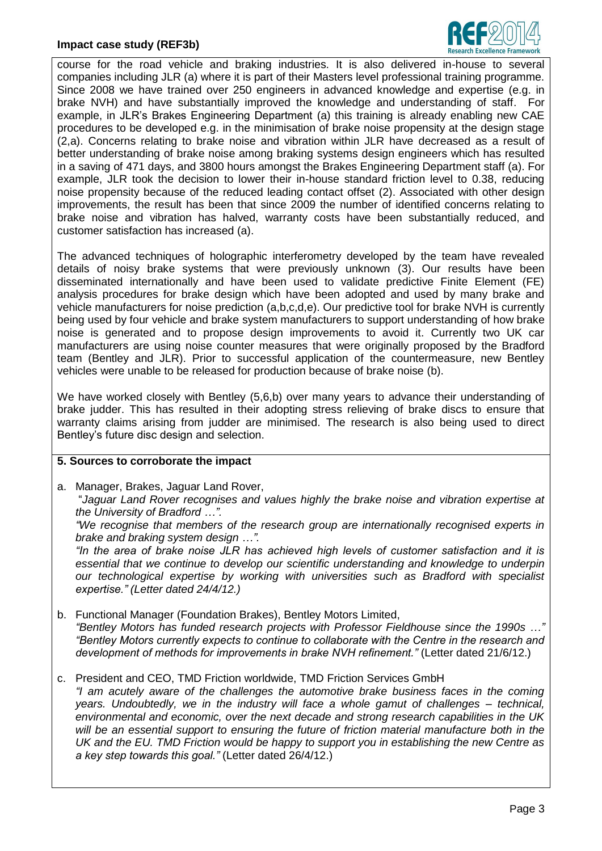## **Impact case study (REF3b)**



course for the road vehicle and braking industries. It is also delivered in-house to several companies including JLR (a) where it is part of their Masters level professional training programme. Since 2008 we have trained over 250 engineers in advanced knowledge and expertise (e.g. in brake NVH) and have substantially improved the knowledge and understanding of staff. For example, in JLR's Brakes Engineering Department (a) this training is already enabling new CAE procedures to be developed e.g. in the minimisation of brake noise propensity at the design stage (2,a). Concerns relating to brake noise and vibration within JLR have decreased as a result of better understanding of brake noise among braking systems design engineers which has resulted in a saving of 471 days, and 3800 hours amongst the Brakes Engineering Department staff (a). For example, JLR took the decision to lower their in-house standard friction level to 0.38, reducing noise propensity because of the reduced leading contact offset (2). Associated with other design improvements, the result has been that since 2009 the number of identified concerns relating to brake noise and vibration has halved, warranty costs have been substantially reduced, and customer satisfaction has increased (a).

The advanced techniques of holographic interferometry developed by the team have revealed details of noisy brake systems that were previously unknown (3). Our results have been disseminated internationally and have been used to validate predictive Finite Element (FE) analysis procedures for brake design which have been adopted and used by many brake and vehicle manufacturers for noise prediction (a,b,c,d,e). Our predictive tool for brake NVH is currently being used by four vehicle and brake system manufacturers to support understanding of how brake noise is generated and to propose design improvements to avoid it. Currently two UK car manufacturers are using noise counter measures that were originally proposed by the Bradford team (Bentley and JLR). Prior to successful application of the countermeasure, new Bentley vehicles were unable to be released for production because of brake noise (b).

We have worked closely with Bentley (5,6,b) over many years to advance their understanding of brake judder. This has resulted in their adopting stress relieving of brake discs to ensure that warranty claims arising from judder are minimised. The research is also being used to direct Bentley's future disc design and selection.

#### **5. Sources to corroborate the impact**

a. Manager, Brakes, Jaguar Land Rover,

"*Jaguar Land Rover recognises and values highly the brake noise and vibration expertise at the University of Bradford …".*

*"We recognise that members of the research group are internationally recognised experts in brake and braking system design …".*

*"In the area of brake noise JLR has achieved high levels of customer satisfaction and it is essential that we continue to develop our scientific understanding and knowledge to underpin our technological expertise by working with universities such as Bradford with specialist expertise." (Letter dated 24/4/12.)*

- b. Functional Manager (Foundation Brakes), Bentley Motors Limited, *"Bentley Motors has funded research projects with Professor Fieldhouse since the 1990s …" "Bentley Motors currently expects to continue to collaborate with the Centre in the research and development of methods for improvements in brake NVH refinement."* (Letter dated 21/6/12.)
- c. President and CEO, TMD Friction worldwide, TMD Friction Services GmbH *"I am acutely aware of the challenges the automotive brake business faces in the coming years. Undoubtedly, we in the industry will face a whole gamut of challenges – technical, environmental and economic, over the next decade and strong research capabilities in the UK will be an essential support to ensuring the future of friction material manufacture both in the UK and the EU. TMD Friction would be happy to support you in establishing the new Centre as a key step towards this goal."* (Letter dated 26/4/12.)